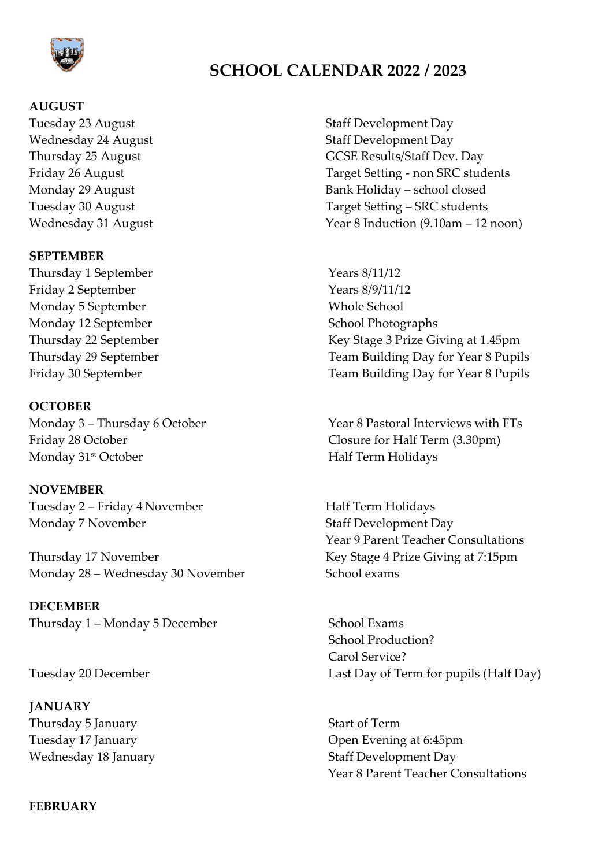

# **SCHOOL CALENDAR 2022 / 2023**

## **AUGUST**

Tuesday 23 August **Staff Development Day** 

#### **SEPTEMBER**

Thursday 1 September Years 8/11/12 Friday 2 September Years 8/9/11/12 Monday 5 September Whole School Monday 12 September School Photographs

### **OCTOBER**

Friday 28 October Closure for Half Term (3.30pm) Monday 31<sup>st</sup> October Half Term Holidays

### **NOVEMBER**

Tuesday 2 – Friday 4 November Half Term Holidays Monday 7 November Staff Development Day

Thursday 17 November Key Stage 4 Prize Giving at 7:15pm Monday 28 – Wednesday 30 November School exams

**DECEMBER** Thursday 1 – Monday 5 December School Exams

**JANUARY** Thursday 5 January Start of Term

#### **FEBRUARY**

Wednesday 24 August **Staff Development Day** Thursday 25 August **GCSE Results/Staff Dev. Day** Friday 26 August Target Setting - non SRC students Monday 29 August Bank Holiday – school closed Tuesday 30 August Tuesday 30 August Target Setting – SRC students Wednesday 31 August Year 8 Induction (9.10am – 12 noon)

Thursday 22 September Key Stage 3 Prize Giving at 1.45pm Thursday 29 September Team Building Day for Year 8 Pupils Friday 30 September Team Building Day for Year 8 Pupils

Monday 3 – Thursday 6 October Year 8 Pastoral Interviews with FTs

Year 9 Parent Teacher Consultations

School Production? Carol Service? Tuesday 20 December Last Day of Term for pupils (Half Day)

Tuesday 17 January **Dem Evening at 6:45pm** Wednesday 18 January **Staff Development Day** Year 8 Parent Teacher Consultations